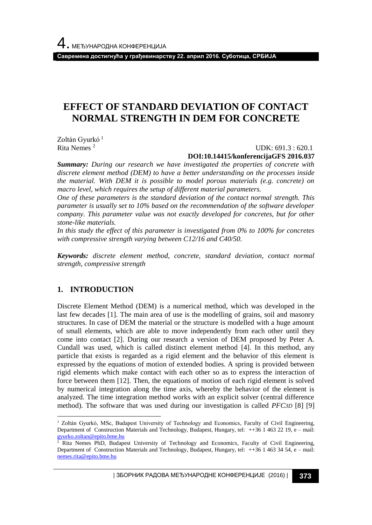**Савремена достигнућа у грађевинарству 22. април 2016. Суботица, СРБИЈА**

# **EFFECT OF STANDARD DEVIATION OF CONTACT NORMAL STRENGTH IN DEM FOR CONCRETE**

Zoltán Gyurkó<sup>1</sup> Rita Nemes <sup>2</sup>

UDK: 691.3 : 620.1

### **DOI:10.14415/konferencijaGFS 2016.037**

*Summary: During our research we have investigated the properties of concrete with discrete element method (DEM) to have a better understanding on the processes inside the material. With DEM it is possible to model porous materials (e.g. concrete) on macro level, which requires the setup of different material parameters.* 

*One of these parameters is the standard deviation of the contact normal strength. This parameter is usually set to 10% based on the recommendation of the software developer company. This parameter value was not exactly developed for concretes, but for other stone-like materials.*

*In this study the effect of this parameter is investigated from 0% to 100% for concretes with compressive strength varying between C12/16 and C40/50.* 

*Keywords: discrete element method, concrete, standard deviation, contact normal strength, compressive strength*

### **1. INTRODUCTION**

l

Discrete Element Method (DEM) is a numerical method, which was developed in the last few decades [1]. The main area of use is the modelling of grains, soil and masonry structures. In case of DEM the material or the structure is modelled with a huge amount of small elements, which are able to move independently from each other until they come into contact [2]. During our research a version of DEM proposed by Peter A. Cundall was used, which is called distinct element method [4]. In this method, any particle that exists is regarded as a rigid element and the behavior of this element is expressed by the equations of motion of extended bodies. A spring is provided between rigid elements which make contact with each other so as to express the interaction of force between them [12]. Then, the equations of motion of each rigid element is solved by numerical integration along the time axis, whereby the behavior of the element is analyzed. The time integration method works with an explicit solver (central difference method). The software that was used during our investigation is called *PFC3D* [8] [9]

| ЗБОРНИК РАДОВА МЕЂУНАРОДНЕ КОНФЕРЕНЦИЈЕ (2016) | **373**

<sup>&</sup>lt;sup>1</sup> Zoltán Gyurkó, MSc, Budapest University of Technology and Economics, Faculty of Civil Engineering, Department of Construction Materials and Technology, Budapest, Hungary, tel: ++36 1 463 22 19, e – mail: [gyurko.zoltan@epito.bme.hu](mailto:gyurko.zoltan@epito.bme.hu)

<sup>&</sup>lt;sup>2</sup> Rita Nemes PhD, Budapest University of Technology and Economics, Faculty of Civil Engineering, Department of Construction Materials and Technology, Budapest, Hungary, tel: ++36 1 463 34 54, e – mail: [nemes.rita@epito.bme.hu](mailto:nemes.rita@epito.bme.hu)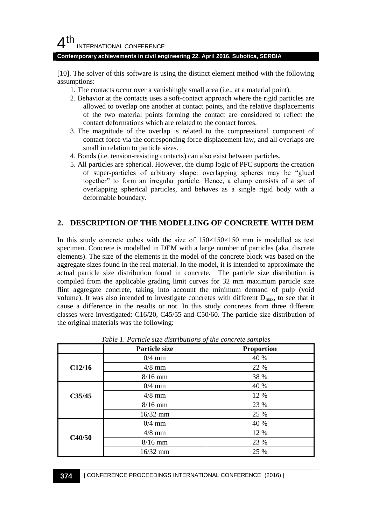### **Contemporary achievements in civil engineering 22. April 2016. Subotica, SERBIA**

[10]. The solver of this software is using the distinct element method with the following assumptions:

- 1. The contacts occur over a vanishingly small area (i.e., at a material point).
- 2. Behavior at the contacts uses a soft-contact approach where the rigid particles are allowed to overlap one another at contact points, and the relative displacements of the two material points forming the contact are considered to reflect the contact deformations which are related to the contact forces.
- 3. The magnitude of the overlap is related to the compressional component of contact force via the corresponding force displacement law, and all overlaps are small in relation to particle sizes.
- 4. Bonds (i.e. tension-resisting contacts) can also exist between particles.
- 5. All particles are spherical. However, the clump logic of PFC supports the creation of super-particles of arbitrary shape: overlapping spheres may be "glued together" to form an irregular particle. Hence, a clump consists of a set of overlapping spherical particles, and behaves as a single rigid body with a deformable boundary.

### **2. DESCRIPTION OF THE MODELLING OF CONCRETE WITH DEM**

In this study concrete cubes with the size of  $150\times150\times150$  mm is modelled as test specimen. Concrete is modelled in DEM with a large number of particles (aka. discrete elements). The size of the elements in the model of the concrete block was based on the aggregate sizes found in the real material. In the model, it is intended to approximate the actual particle size distribution found in concrete. The particle size distribution is compiled from the applicable grading limit curves for 32 mm maximum particle size flint aggregate concrete, taking into account the minimum demand of pulp (void volume). It was also intended to investigate concretes with different  $D_{\text{max}}$ , to see that it cause a difference in the results or not. In this study concretes from three different classes were investigated: C16/20, C45/55 and C50/60. The particle size distribution of the original materials was the following:

|        | Particle size | <b>Proportion</b> |
|--------|---------------|-------------------|
|        | $0/4$ mm      | 40 %              |
| C12/16 | $4/8$ mm      | 22 %              |
|        | $8/16$ mm     | 38 %              |
|        | $0/4$ mm      | 40 %              |
| C35/45 | $4/8$ mm      | 12 %              |
|        | $8/16$ mm     | 23 %              |
|        | $16/32$ mm    | 25 %              |
|        | $0/4$ mm      | 40 %              |
|        | $4/8$ mm      | 12 %              |
| C40/50 | $8/16$ mm     | 23 %              |
|        | 16/32 mm      | 25 %              |

*Table 1. Particle size distributions of the concrete samples*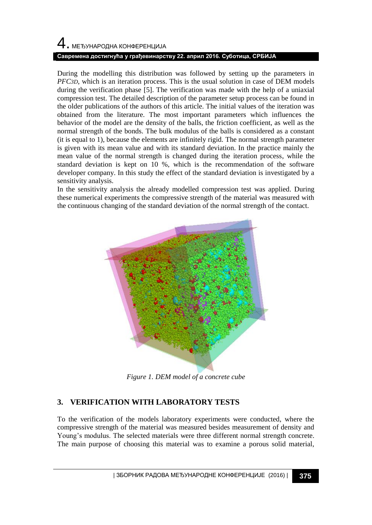# 4. МЕЂУНАРОДНА КОНФЕРЕНЦИЈА **Савремена достигнућа у грађевинарству 22. април 2016. Суботица, СРБИЈА**

During the modelling this distribution was followed by setting up the parameters in *PFC3D*, which is an iteration process. This is the usual solution in case of DEM models during the verification phase [5]. The verification was made with the help of a uniaxial compression test. The detailed description of the parameter setup process can be found in the older publications of the authors of this article. The initial values of the iteration was obtained from the literature. The most important parameters which influences the behavior of the model are the density of the balls, the friction coefficient, as well as the normal strength of the bonds. The bulk modulus of the balls is considered as a constant (it is equal to 1), because the elements are infinitely rigid. The normal strength parameter is given with its mean value and with its standard deviation. In the practice mainly the mean value of the normal strength is changed during the iteration process, while the standard deviation is kept on 10 %, which is the recommendation of the software developer company. In this study the effect of the standard deviation is investigated by a sensitivity analysis.

In the sensitivity analysis the already modelled compression test was applied. During these numerical experiments the compressive strength of the material was measured with the continuous changing of the standard deviation of the normal strength of the contact.



*Figure 1. DEM model of a concrete cube*

# **3. VERIFICATION WITH LABORATORY TESTS**

To the verification of the models laboratory experiments were conducted, where the compressive strength of the material was measured besides measurement of density and Young's modulus. The selected materials were three different normal strength concrete. The main purpose of choosing this material was to examine a porous solid material,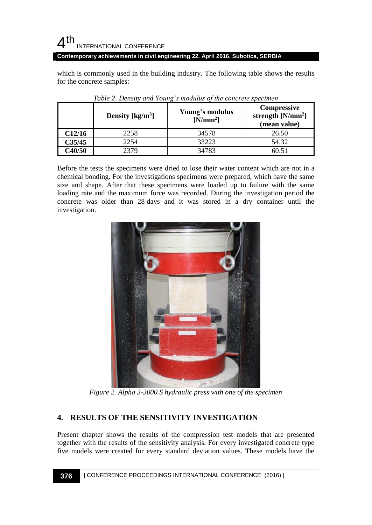**Contemporary achievements in civil engineering 22. April 2016. Subotica, SERBIA**

which is commonly used in the building industry. The following table shows the results for the concrete samples:

|        | Density $\left[\text{kg/m}^3\right]$ | Young's modulus<br>$[N/mm^2]$ | <b>Compressive</b><br>strength $[N/mm^2]$<br>(mean value) |
|--------|--------------------------------------|-------------------------------|-----------------------------------------------------------|
| C12/16 | 2258                                 | 34578                         | 26.50                                                     |
| C35/45 | 2254                                 | 33223                         | 54.32                                                     |
| C40/50 | 2379                                 | 34783                         |                                                           |

| Table 2. Density and Young's modulus of the concrete specimen |  |  |
|---------------------------------------------------------------|--|--|
|                                                               |  |  |

Before the tests the specimens were dried to lose their water content which are not in a chemical bonding. For the investigations specimens were prepared, which have the same size and shape. After that these specimens were loaded up to failure with the same loading rate and the maximum force was recorded. During the investigation period the concrete was older than 28 days and it was stored in a dry container until the investigation.



*Figure 2. Alpha 3-3000 S hydraulic press with one of the specimen*

### **4. RESULTS OF THE SENSITIVITY INVESTIGATION**

Present chapter shows the results of the compression test models that are presented together with the results of the sensitivity analysis. For every investigated concrete type five models were created for every standard deviation values. These models have the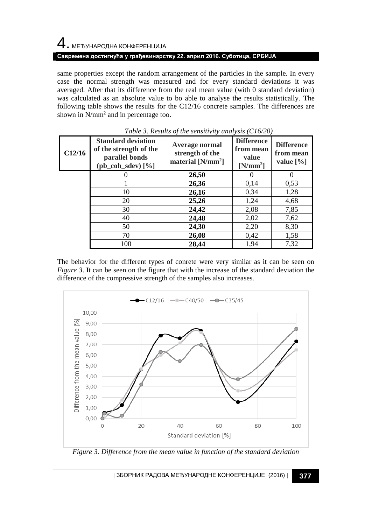# $\,4\,$ . МЕЂУНАРОДНА КОНФЕРЕНЦИЈА

### **Савремена достигнућа у грађевинарству 22. април 2016. Суботица, СРБИЈА**

same properties except the random arrangement of the particles in the sample. In every case the normal strength was measured and for every standard deviations it was averaged. After that its difference from the real mean value (with 0 standard deviation) was calculated as an absolute value to bo able to analyse the results statistically. The following table shows the results for the C12/16 concrete samples. The differences are shown in  $N/mm^2$  and in percentage too.

| C12/16 | <b>Standard deviation</b><br>of the strength of the<br>parallel bonds<br>$(pb_{\text{coh}\_\text{sdev}})[\%]$ | Average normal<br>strength of the<br>material $[N/mm^2]$ | <b>Difference</b><br>from mean<br>value<br>$[N/mm^2]$ | <b>Difference</b><br>from mean<br>value $[\%]$ |
|--------|---------------------------------------------------------------------------------------------------------------|----------------------------------------------------------|-------------------------------------------------------|------------------------------------------------|
|        |                                                                                                               | 26,50                                                    |                                                       |                                                |
|        |                                                                                                               | 26,36                                                    | 0,14                                                  | 0.53                                           |
|        | 10                                                                                                            | 26,16                                                    | 0,34                                                  | 1,28                                           |
|        | 20                                                                                                            | 25,26                                                    | 1,24                                                  | 4,68                                           |
|        | 30                                                                                                            | 24,42                                                    | 2,08                                                  | 7,85                                           |
|        | 40                                                                                                            | 24,48                                                    | 2,02                                                  | 7,62                                           |
|        | 50                                                                                                            | 24,30                                                    | 2,20                                                  | 8,30                                           |
|        | 70                                                                                                            | 26,08                                                    | 0,42                                                  | 1,58                                           |
|        | 100                                                                                                           | 28,44                                                    | 1,94                                                  | 7,32                                           |

*Table 3. Results of the sensitivity analysis (C16/20)*

The behavior for the different types of conrete were very similar as it can be seen on *Figure 3*. It can be seen on the figure that with the increase of the standard deviation the difference of the compressive strength of the samples also increases.



*Figure 3. Difference from the mean value in function of the standard deviation*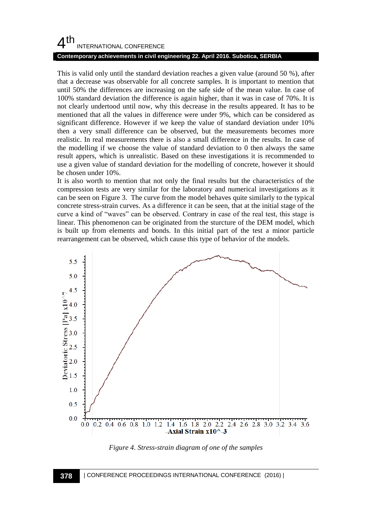### **Contemporary achievements in civil engineering 22. April 2016. Subotica, SERBIA**

This is valid only until the standard deviation reaches a given value (around 50 %), after that a decrease was observable for all concrete samples. It is important to mention that until 50% the differences are increasing on the safe side of the mean value. In case of 100% standard deviation the difference is again higher, than it was in case of 70%. It is not clearly undertood until now, why this decrease in the results appeared. It has to be mentioned that all the values in difference were under 9%, which can be considered as significant difference. However if we keep the value of standard deviation under 10% then a very small difference can be observed, but the measurements becomes more realistic. In real measurements there is also a small difference in the results. In case of the modelling if we choose the value of standard deviation to 0 then always the same result appers, which is unrealistic. Based on these investigations it is recommended to use a given value of standard deviation for the modelling of concrete, however it should be chosen under 10%.

It is also worth to mention that not only the final results but the characteristics of the compression tests are very similar for the laboratory and numerical investigations as it can be seen on Figure 3. The curve from the model behaves quite similarly to the typical concrete stress-strain curves. As a difference it can be seen, that at the initial stage of the curve a kind of "waves" can be observed. Contrary in case of the real test, this stage is linear. This phenomenon can be originated from the sturcture of the DEM model, which is built up from elements and bonds. In this initial part of the test a minor particle rearrangement can be observed, which cause this type of behavior of the models.



*Figure 4. Stress-strain diagram of one of the samples*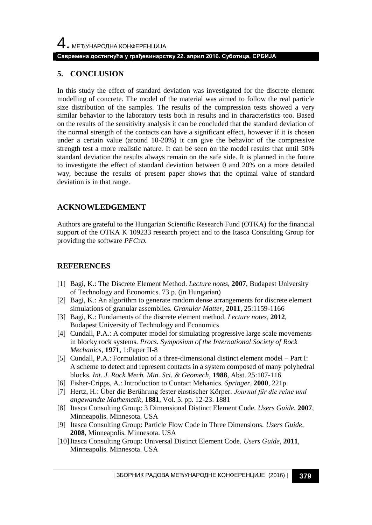### **5. CONCLUSION**

In this study the effect of standard deviation was investigated for the discrete element modelling of concrete. The model of the material was aimed to follow the real particle size distribution of the samples. The results of the compression tests showed a very similar behavior to the laboratory tests both in results and in characteristics too. Based on the results of the sensitivity analysis it can be concluded that the standard deviation of the normal strength of the contacts can have a significant effect, however if it is chosen under a certain value (around 10-20%) it can give the behavior of the compressive strength test a more realistic nature. It can be seen on the model results that until 50% standard deviation the results always remain on the safe side. It is planned in the future to investigate the effect of standard deviation between 0 and 20% on a more detailed way, because the results of present paper shows that the optimal value of standard deviation is in that range.

## **ACKNOWLEDGEMENT**

Authors are grateful to the Hungarian Scientific Research Fund (OTKA) for the financial support of the OTKA K 109233 research project and to the Itasca Consulting Group for providing the software *PFC3D*.

## **REFERENCES**

- [1] Bagi, K.: The Discrete Element Method. *Lecture notes*, **2007**, Budapest University of Technology and Economics. 73 p. (in Hungarian)
- [2] Bagi, K.: An algorithm to generate random dense arrangements for discrete element simulations of granular assemblies. *Granular Matter,* **2011**, 25:1159-1166
- [3] Bagi, K.: Fundaments of the discrete element method. *Lecture notes*, **2012**, Budapest University of Technology and Economics
- [4] Cundall, P.A.: A computer model for simulating progressive large scale movements in blocky rock systems. *Procs. Symposium of the International Society of Rock Mechanics,* **1971**, 1:Paper II-8
- [5] Cundall, P.A.: Formulation of a three-dimensional distinct element model Part I: A scheme to detect and represent contacts in a system composed of many polyhedral blocks. *Int. J. Rock Mech. Min. Sci. & Geomech*, **1988**, Abst. 25:107-116
- [6] Fisher-Cripps, A.: Introduction to Contact Mehanics. *Springer*, **2000**, 221p.
- [7] Hertz, H.: Über die Berührung fester elastischer Körper. *Journal für die reine und angewandte Mathematik*, **1881**, Vol. 5. pp. 12-23. 1881
- [8] Itasca Consulting Group: 3 Dimensional Distinct Element Code. *Users Guide,* **2007**, Minneapolis. Minnesota. USA
- [9] Itasca Consulting Group: Particle Flow Code in Three Dimensions. *Users Guide*, **2008**, Minneapolis. Minnesota. USA
- [10]Itasca Consulting Group: Universal Distinct Element Code. *Users Guide*, **2011**, Minneapolis. Minnesota. USA